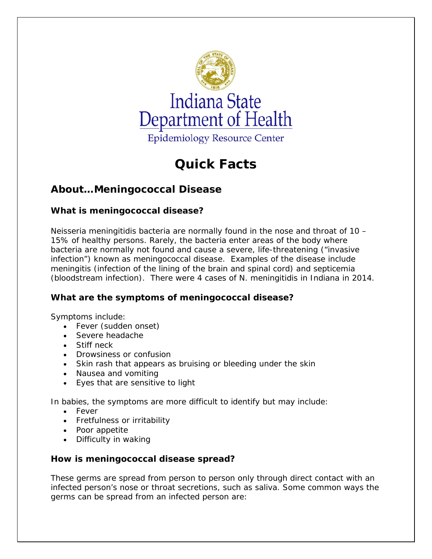

# **Quick Facts**

# **About…Meningococcal Disease**

# **What is meningococcal disease?**

*Neisseria meningitidis* bacteria are normally found in the nose and throat of 10 – 15% of healthy persons. Rarely, the bacteria enter areas of the body where bacteria are normally not found and cause a severe, life-threatening ("invasive infection") known as meningococcal disease. Examples of the disease include meningitis (infection of the lining of the brain and spinal cord) and septicemia (bloodstream infection). There were 4 cases of *N. meningitidis* in Indiana in 2014.

# **What are the symptoms of meningococcal disease?**

Symptoms include:

- Fever (sudden onset)
- Severe headache
- Stiff neck
- Drowsiness or confusion
- Skin rash that appears as bruising or bleeding under the skin
- Nausea and vomiting
- Eyes that are sensitive to light

In babies, the symptoms are more difficult to identify but may include:

- Fever
- Fretfulness or irritability
- Poor appetite
- Difficulty in waking

# **How is meningococcal disease spread?**

These germs are spread from person to person *only through* direct contact with an infected person's nose or throat secretions, such as saliva. Some common ways the germs can be spread from an infected person are: